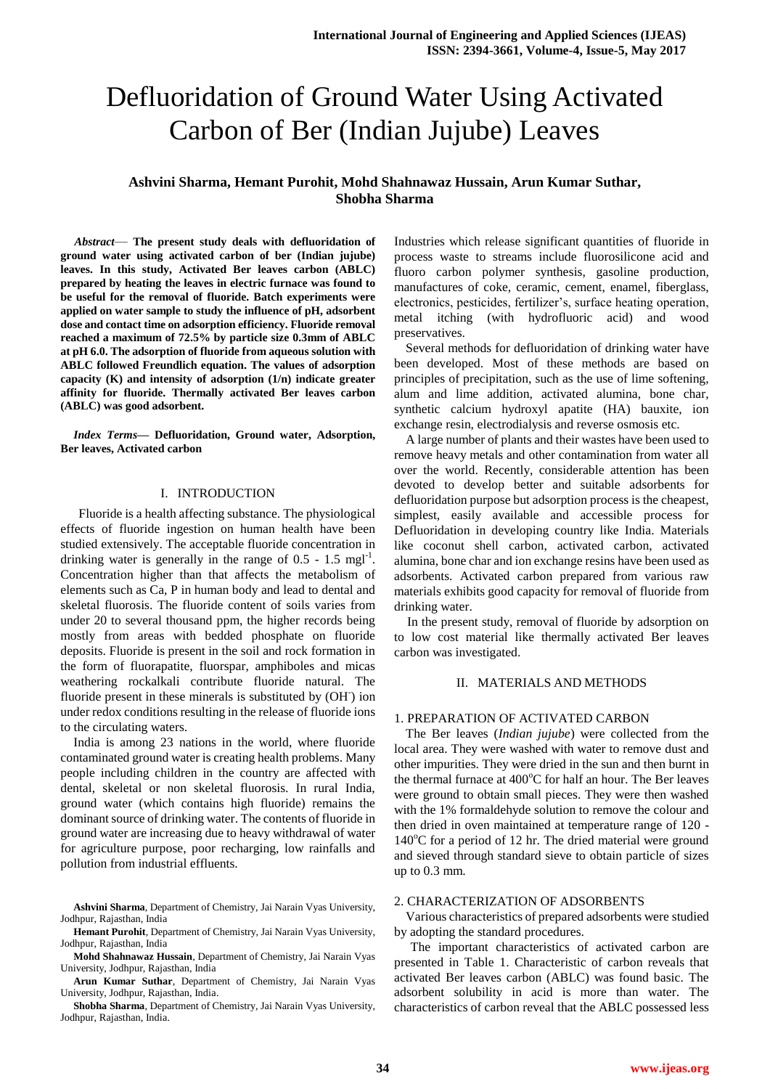# Defluoridation of Ground Water Using Activated Carbon of Ber (Indian Jujube) Leaves

# **Ashvini Sharma, Hemant Purohit, Mohd Shahnawaz Hussain, Arun Kumar Suthar, Shobha Sharma**

*Abstract*— **The present study deals with defluoridation of ground water using activated carbon of ber (Indian jujube) leaves. In this study, Activated Ber leaves carbon (ABLC) prepared by heating the leaves in electric furnace was found to be useful for the removal of fluoride. Batch experiments were applied on water sample to study the influence of pH, adsorbent dose and contact time on adsorption efficiency. Fluoride removal reached a maximum of 72.5% by particle size 0.3mm of ABLC at pH 6.0. The adsorption of fluoride from aqueous solution with ABLC followed Freundlich equation. The values of adsorption capacity (K) and intensity of adsorption (1/n) indicate greater affinity for fluoride. Thermally activated Ber leaves carbon (ABLC) was good adsorbent.**

*Index Terms***— Defluoridation, Ground water, Adsorption, Ber leaves, Activated carbon**

# I. INTRODUCTION

 Fluoride is a health affecting substance. The physiological effects of fluoride ingestion on human health have been studied extensively. The acceptable fluoride concentration in drinking water is generally in the range of  $0.5 - 1.5$  mgl<sup>-1</sup>. Concentration higher than that affects the metabolism of elements such as Ca, P in human body and lead to dental and skeletal fluorosis. The fluoride content of soils varies from under 20 to several thousand ppm, the higher records being mostly from areas with bedded phosphate on fluoride deposits. Fluoride is present in the soil and rock formation in the form of fluorapatite, fluorspar, amphiboles and micas weathering rockalkali contribute fluoride natural. The fluoride present in these minerals is substituted by (OH) ion under redox conditions resulting in the release of fluoride ions to the circulating waters.

India is among 23 nations in the world, where fluoride contaminated ground water is creating health problems. Many people including children in the country are affected with dental, skeletal or non skeletal fluorosis. In rural India, ground water (which contains high fluoride) remains the dominant source of drinking water. The contents of fluoride in ground water are increasing due to heavy withdrawal of water for agriculture purpose, poor recharging, low rainfalls and pollution from industrial effluents.

Industries which release significant quantities of fluoride in process waste to streams include fluorosilicone acid and fluoro carbon polymer synthesis, gasoline production, manufactures of coke, ceramic, cement, enamel, fiberglass, electronics, pesticides, fertilizer's, surface heating operation, metal itching (with hydrofluoric acid) and wood preservatives.

Several methods for defluoridation of drinking water have been developed. Most of these methods are based on principles of precipitation, such as the use of lime softening, alum and lime addition, activated alumina, bone char, synthetic calcium hydroxyl apatite (HA) bauxite, ion exchange resin, electrodialysis and reverse osmosis etc.

A large number of plants and their wastes have been used to remove heavy metals and other contamination from water all over the world. Recently, considerable attention has been devoted to develop better and suitable adsorbents for defluoridation purpose but adsorption process is the cheapest, simplest, easily available and accessible process for Defluoridation in developing country like India. Materials like coconut shell carbon, activated carbon, activated alumina, bone char and ion exchange resins have been used as adsorbents. Activated carbon prepared from various raw materials exhibits good capacity for removal of fluoride from drinking water.

In the present study, removal of fluoride by adsorption on to low cost material like thermally activated Ber leaves carbon was investigated.

# II. MATERIALS AND METHODS

# 1. PREPARATION OF ACTIVATED CARBON

The Ber leaves (*Indian jujube*) were collected from the local area. They were washed with water to remove dust and other impurities. They were dried in the sun and then burnt in the thermal furnace at  $400^{\circ}$ C for half an hour. The Ber leaves were ground to obtain small pieces. They were then washed with the 1% formaldehyde solution to remove the colour and then dried in oven maintained at temperature range of 120 -  $140^{\circ}$ C for a period of 12 hr. The dried material were ground and sieved through standard sieve to obtain particle of sizes up to 0.3 mm.

# 2. CHARACTERIZATION OF ADSORBENTS

Various characteristics of prepared adsorbents were studied by adopting the standard procedures.

The important characteristics of activated carbon are presented in Table 1. Characteristic of carbon reveals that activated Ber leaves carbon (ABLC) was found basic. The adsorbent solubility in acid is more than water. The characteristics of carbon reveal that the ABLC possessed less

**Ashvini Sharma**, Department of Chemistry, Jai Narain Vyas University, Jodhpur, Rajasthan, India

**Hemant Purohit**, Department of Chemistry, Jai Narain Vyas University, Jodhpur, Rajasthan, India

**Mohd Shahnawaz Hussain**, Department of Chemistry, Jai Narain Vyas University, Jodhpur, Rajasthan, India

**Arun Kumar Suthar**, Department of Chemistry, Jai Narain Vyas University, Jodhpur, Rajasthan, India.

**Shobha Sharma**, Department of Chemistry, Jai Narain Vyas University, Jodhpur, Rajasthan, India.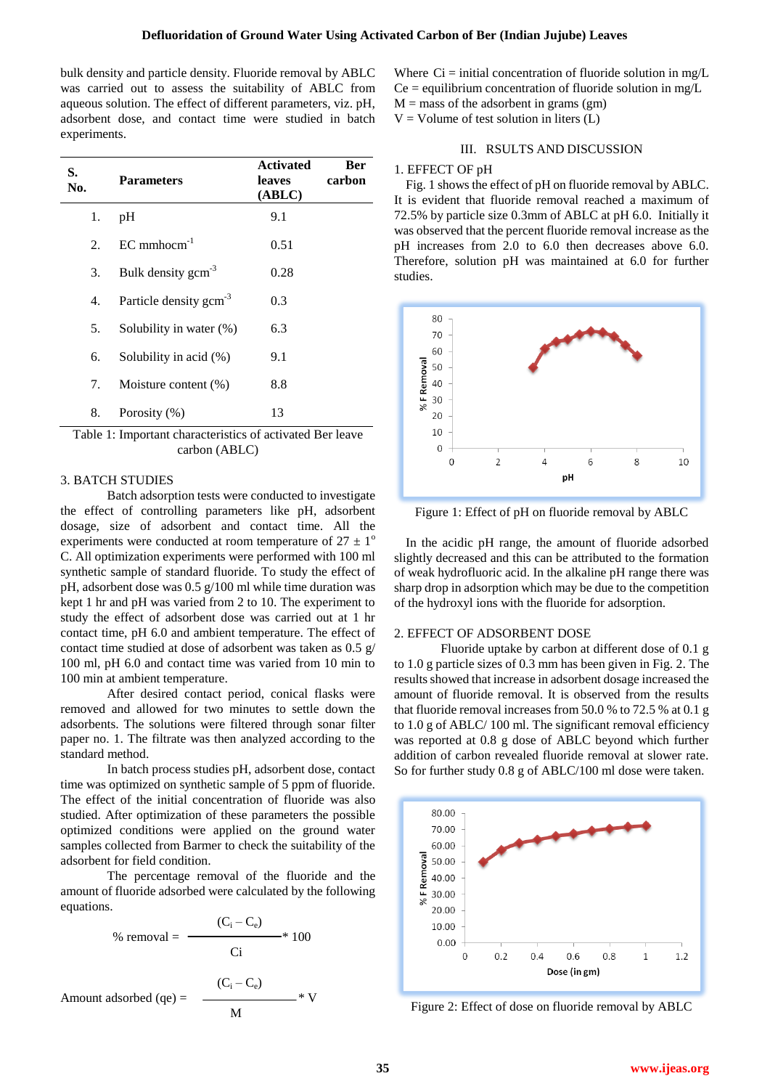bulk density and particle density. Fluoride removal by ABLC was carried out to assess the suitability of ABLC from aqueous solution. The effect of different parameters, viz. pH, adsorbent dose, and contact time were studied in batch experiments.

| S.<br>No. | <b>Parameters</b>                                                                                        | <b>Activated</b><br>leaves<br>(ABLC)                                                                    | Ber<br>carbon  |
|-----------|----------------------------------------------------------------------------------------------------------|---------------------------------------------------------------------------------------------------------|----------------|
| 1.        | pH                                                                                                       | 9.1                                                                                                     |                |
| 2.        | $EC$ mmhocm $^{-1}$                                                                                      | 0.51                                                                                                    |                |
| 3.        | Bulk density gcm <sup>-3</sup>                                                                           | 0.28                                                                                                    |                |
| 4.        | Particle density gcm <sup>-3</sup>                                                                       | 0.3                                                                                                     |                |
| 5.        | Solubility in water (%)                                                                                  | 6.3                                                                                                     |                |
| 6.        | Solubility in acid (%)                                                                                   | 9.1                                                                                                     |                |
| 7.        | Moisture content $(\%)$                                                                                  | 8.8                                                                                                     |                |
| 8.        | Porosity (%)<br>$\mathbf{r}$ , and $\mathbf{r}$ , and $\mathbf{r}$ , and $\mathbf{r}$ , and $\mathbf{r}$ | 13<br>$\mathcal{C}$ $\mathcal{C}$ $\mathcal{C}$ $\mathcal{C}$ $\mathcal{C}$ $\mathcal{C}$ $\mathcal{D}$ | $\blacksquare$ |

Table 1: Important characteristics of activated Ber leave carbon (ABLC)

# 3. BATCH STUDIES

Batch adsorption tests were conducted to investigate the effect of controlling parameters like pH, adsorbent dosage, size of adsorbent and contact time. All the experiments were conducted at room temperature of  $27 \pm 1^{\circ}$ C. All optimization experiments were performed with 100 ml synthetic sample of standard fluoride. To study the effect of pH, adsorbent dose was 0.5 g/100 ml while time duration was kept 1 hr and pH was varied from 2 to 10. The experiment to study the effect of adsorbent dose was carried out at 1 hr contact time, pH 6.0 and ambient temperature. The effect of contact time studied at dose of adsorbent was taken as 0.5 g/ 100 ml, pH 6.0 and contact time was varied from 10 min to 100 min at ambient temperature.

After desired contact period, conical flasks were removed and allowed for two minutes to settle down the adsorbents. The solutions were filtered through sonar filter paper no. 1. The filtrate was then analyzed according to the standard method.

In batch process studies pH, adsorbent dose, contact time was optimized on synthetic sample of 5 ppm of fluoride. The effect of the initial concentration of fluoride was also studied. After optimization of these parameters the possible optimized conditions were applied on the ground water samples collected from Barmer to check the suitability of the adsorbent for field condition.

The percentage removal of the fluoride and the amount of fluoride adsorbed were calculated by the following equations.

% removal = 
$$
\frac{(C_i - C_e)}{Ci} \times 100
$$
  
nt adsorbed (qe) = 
$$
\frac{(C_i - C_e)}{ij} \times V
$$

M

Amou

Where  $Ci = initial concentration of fluoride solution in mg/L$  $Ce =$  equilibrium concentration of fluoride solution in mg/L  $M =$  mass of the adsorbent in grams (gm)  $V =$  Volume of test solution in liters (L)

# III. RSULTS AND DISCUSSION

#### 1. EFFECT OF pH

Fig. 1 shows the effect of pH on fluoride removal by ABLC. It is evident that fluoride removal reached a maximum of 72.5% by particle size 0.3mm of ABLC at pH 6.0. Initially it was observed that the percent fluoride removal increase as the pH increases from 2.0 to 6.0 then decreases above 6.0. Therefore, solution pH was maintained at 6.0 for further studies.



Figure 1: Effect of pH on fluoride removal by ABLC

In the acidic pH range, the amount of fluoride adsorbed slightly decreased and this can be attributed to the formation of weak hydrofluoric acid. In the alkaline pH range there was sharp drop in adsorption which may be due to the competition of the hydroxyl ions with the fluoride for adsorption.

#### 2. EFFECT OF ADSORBENT DOSE

Fluoride uptake by carbon at different dose of 0.1 g to 1.0 g particle sizes of 0.3 mm has been given in Fig. 2. The results showed that increase in adsorbent dosage increased the amount of fluoride removal. It is observed from the results that fluoride removal increases from 50.0 % to 72.5 % at 0.1 g to 1.0 g of ABLC/ 100 ml. The significant removal efficiency was reported at 0.8 g dose of ABLC beyond which further addition of carbon revealed fluoride removal at slower rate. So for further study 0.8 g of ABLC/100 ml dose were taken.



Figure 2: Effect of dose on fluoride removal by ABLC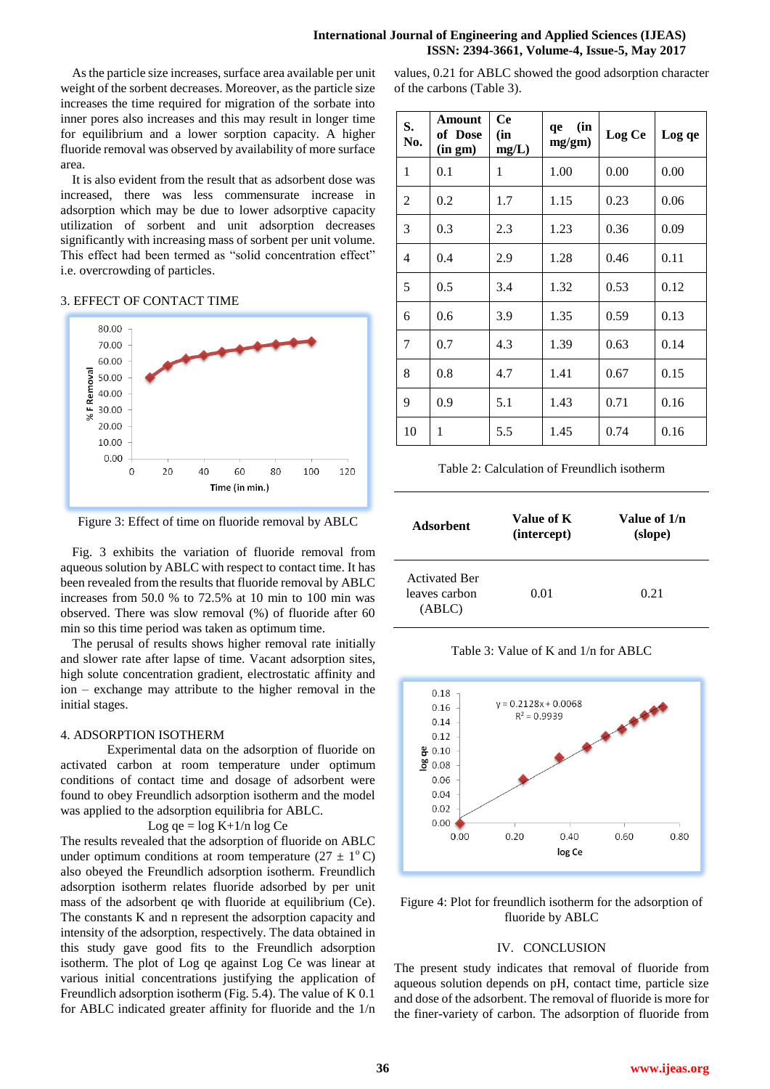# **International Journal of Engineering and Applied Sciences (IJEAS) ISSN: 2394-3661, Volume-4, Issue-5, May 2017**

Asthe particle size increases, surface area available per unit weight of the sorbent decreases. Moreover, as the particle size increases the time required for migration of the sorbate into inner pores also increases and this may result in longer time for equilibrium and a lower sorption capacity. A higher fluoride removal was observed by availability of more surface area.

It is also evident from the result that as adsorbent dose was increased, there was less commensurate increase in adsorption which may be due to lower adsorptive capacity utilization of sorbent and unit adsorption decreases significantly with increasing mass of sorbent per unit volume. This effect had been termed as "solid concentration effect" i.e. overcrowding of particles.

## 3. EFFECT OF CONTACT TIME



Figure 3: Effect of time on fluoride removal by ABLC

Fig. 3 exhibits the variation of fluoride removal from aqueous solution by ABLC with respect to contact time. It has been revealed from the results that fluoride removal by ABLC increases from 50.0 % to 72.5% at 10 min to 100 min was observed. There was slow removal (%) of fluoride after 60 min so this time period was taken as optimum time.

The perusal of results shows higher removal rate initially and slower rate after lapse of time. Vacant adsorption sites, high solute concentration gradient, electrostatic affinity and ion – exchange may attribute to the higher removal in the initial stages.

# 4. ADSORPTION ISOTHERM

Experimental data on the adsorption of fluoride on activated carbon at room temperature under optimum conditions of contact time and dosage of adsorbent were found to obey Freundlich adsorption isotherm and the model was applied to the adsorption equilibria for ABLC.

Log qe =  $\log K + 1/n \log Ce$ 

The results revealed that the adsorption of fluoride on ABLC under optimum conditions at room temperature ( $27 \pm 1$ <sup>o</sup>C) also obeyed the Freundlich adsorption isotherm. Freundlich adsorption isotherm relates fluoride adsorbed by per unit mass of the adsorbent qe with fluoride at equilibrium (Ce). The constants K and n represent the adsorption capacity and intensity of the adsorption, respectively. The data obtained in this study gave good fits to the Freundlich adsorption isotherm. The plot of Log qe against Log Ce was linear at various initial concentrations justifying the application of Freundlich adsorption isotherm (Fig. 5.4). The value of K 0.1 for ABLC indicated greater affinity for fluoride and the 1/n

values, 0.21 for ABLC showed the good adsorption character of the carbons (Table 3).

| S.<br>No. | Amount<br>of Dose<br>(in gm) | <b>Ce</b><br>(in<br>mg/L) | (in<br>qe<br>mg/gm) | Log Ce | Log qe |
|-----------|------------------------------|---------------------------|---------------------|--------|--------|
| 1         | 0.1                          | 1                         | 1.00                | 0.00   | 0.00   |
| 2         | 0.2                          | 1.7                       | 1.15                | 0.23   | 0.06   |
| 3         | 0.3                          | 2.3                       | 1.23                | 0.36   | 0.09   |
| 4         | 0.4                          | 2.9                       | 1.28                | 0.46   | 0.11   |
| 5         | 0.5                          | 3.4                       | 1.32                | 0.53   | 0.12   |
| 6         | 0.6                          | 3.9                       | 1.35                | 0.59   | 0.13   |
| 7         | 0.7                          | 4.3                       | 1.39                | 0.63   | 0.14   |
| 8         | 0.8                          | 4.7                       | 1.41                | 0.67   | 0.15   |
| 9         | 0.9                          | 5.1                       | 1.43                | 0.71   | 0.16   |
| 10        | 1                            | 5.5                       | 1.45                | 0.74   | 0.16   |

Table 2: Calculation of Freundlich isotherm

| Adsorbent                                       | Value of K<br>(intercept) | Value of 1/n<br>(slope) |
|-------------------------------------------------|---------------------------|-------------------------|
| <b>Activated Ber</b><br>leaves carbon<br>(ABLC) | 0.01                      | 0.21                    |

Table 3: Value of K and 1/n for ABLC



Figure 4: Plot for freundlich isotherm for the adsorption of fluoride by ABLC

## IV. CONCLUSION

The present study indicates that removal of fluoride from aqueous solution depends on pH, contact time, particle size and dose of the adsorbent. The removal of fluoride is more for the finer-variety of carbon. The adsorption of fluoride from